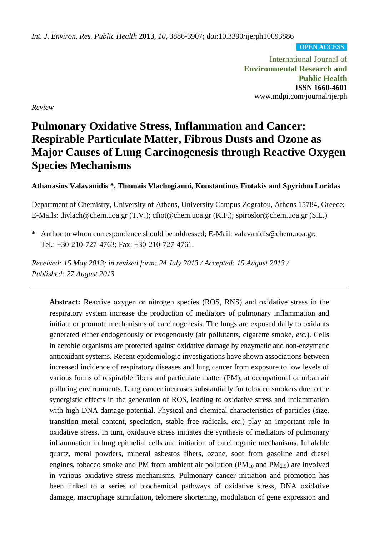*Int. J. Environ. Res. Public Health* **2013**, *10*, 3886-3907; doi:10.3390/ijerph10093886

**OPEN ACCESS**

International Journal of **Environmental Research and Public Health ISSN 1660-4601** www.mdpi.com/journal/ijerph

*Review*

# **Pulmonary Oxidative Stress, Inflammation and Cancer: Respirable Particulate Matter, Fibrous Dusts and Ozone as Major Causes of Lung Carcinogenesis through Reactive Oxygen Species Mechanisms**

## **Athanasios Valavanidis \*, Thomais Vlachogianni, Konstantinos Fiotakis and Spyridon Loridas**

Department of Chemistry, University of Athens, University Campus Zografou, Athens 15784, Greece; E-Mails: thvlach@chem.uoa.gr (T.V.); cfiot@chem.uoa.gr (K.F.); spiroslor@chem.uoa.gr (S.L.)

**\*** Author to whom correspondence should be addressed; E-Mail: valavanidis@chem.uoa.gr; Tel.: +30-210-727-4763; Fax: +30-210-727-4761.

*Received: 15 May 2013; in revised form: 24 July 2013 / Accepted: 15 August 2013 / Published: 27 August 2013*

**Abstract:** Reactive oxygen or nitrogen species (ROS, RNS) and oxidative stress in the respiratory system increase the production of mediators of pulmonary inflammation and initiate or promote mechanisms of carcinogenesis. The lungs are exposed daily to oxidants generated either endogenously or exogenously (air pollutants, cigarette smoke, *etc.*). Cells in aerobic organisms are protected against oxidative damage by enzymatic and non-enzymatic antioxidant systems. Recent epidemiologic investigations have shown associations between increased incidence of respiratory diseases and lung cancer from exposure to low levels of various forms of respirable fibers and particulate matter (PM), at occupational or urban air polluting environments. Lung cancer increases substantially for tobacco smokers due to the synergistic effects in the generation of ROS, leading to oxidative stress and inflammation with high DNA damage potential. Physical and chemical characteristics of particles (size, transition metal content, speciation, stable free radicals, *etc.*) play an important role in oxidative stress. In turn, oxidative stress initiates the synthesis of mediators of pulmonary inflammation in lung epithelial cells and initiation of carcinogenic mechanisms. Inhalable quartz, metal powders, mineral asbestos fibers, ozone, soot from gasoline and diesel engines, tobacco smoke and PM from ambient air pollution ( $PM_{10}$  and  $PM_{2.5}$ ) are involved in various oxidative stress mechanisms. Pulmonary cancer initiation and promotion has been linked to a series of biochemical pathways of oxidative stress, DNA oxidative damage, macrophage stimulation, telomere shortening, modulation of gene expression and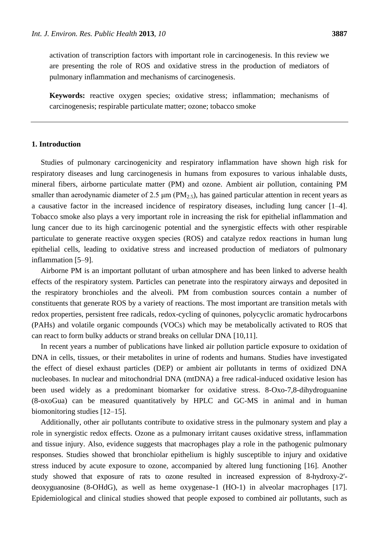activation of transcription factors with important role in carcinogenesis. In this review we are presenting the role of ROS and oxidative stress in the production of mediators of pulmonary inflammation and mechanisms of carcinogenesis.

**Keywords:** reactive oxygen species; oxidative stress; inflammation; mechanisms of carcinogenesis; respirable particulate matter; ozone; tobacco smoke

### **1. Introduction**

Studies of pulmonary carcinogenicity and respiratory inflammation have shown high risk for respiratory diseases and lung carcinogenesis in humans from exposures to various inhalable dusts, mineral fibers, airborne particulate matter (PM) and ozone. Ambient air pollution, containing PM smaller than aerodynamic diameter of 2.5  $\mu$ m (PM<sub>2.5</sub>), has gained particular attention in recent years as a causative factor in the increased incidence of respiratory diseases, including lung cancer [1–4]. Tobacco smoke also plays a very important role in increasing the risk for epithelial inflammation and lung cancer due to its high carcinogenic potential and the synergistic effects with other respirable particulate to generate reactive oxygen species (ROS) and catalyze redox reactions in human lung epithelial cells, leading to oxidative stress and increased production of mediators of pulmonary inflammation [5–9].

Airborne PM is an important pollutant of urban atmosphere and has been linked to adverse health effects of the respiratory system. Particles can penetrate into the respiratory airways and deposited in the respiratory bronchioles and the alveoli. PM from combustion sources contain a number of constituents that generate ROS by a variety of reactions. The most important are transition metals with redox properties, persistent free radicals, redox-cycling of quinones, polycyclic aromatic hydrocarbons (PAHs) and volatile organic compounds (VOCs) which may be metabolically activated to ROS that can react to form bulky adducts or strand breaks on cellular DNA [10,11].

In recent years a number of publications have linked air pollution particle exposure to oxidation of DNA in cells, tissues, or their metabolites in urine of rodents and humans. Studies have investigated the effect of diesel exhaust particles (DEP) or ambient air pollutants in terms of oxidized DNA nucleobases. In nuclear and mitochondrial DNA (mtDNA) a free radical-induced oxidative lesion has been used widely as a predominant biomarker for oxidative stress. 8-Oxo-7,8-dihydroguanine (8-oxoGua) can be measured quantitatively by HPLC and GC-MS in animal and in human biomonitoring studies [12–15].

Additionally, other air pollutants contribute to oxidative stress in the pulmonary system and play a role in synergistic redox effects. Ozone as a pulmonary irritant causes oxidative stress, inflammation and tissue injury. Also, evidence suggests that macrophages play a role in the pathogenic pulmonary responses. Studies showed that bronchiolar epithelium is highly susceptible to injury and oxidative stress induced by acute exposure to ozone, accompanied by altered lung functioning [16]. Another study showed that exposure of rats to ozone resulted in increased expression of 8-hydroxy-2′ deoxyguanosine (8-OHdG), as well as heme oxygenase-1 (HO-1) in alveolar macrophages [17]. Epidemiological and clinical studies showed that people exposed to combined air pollutants, such as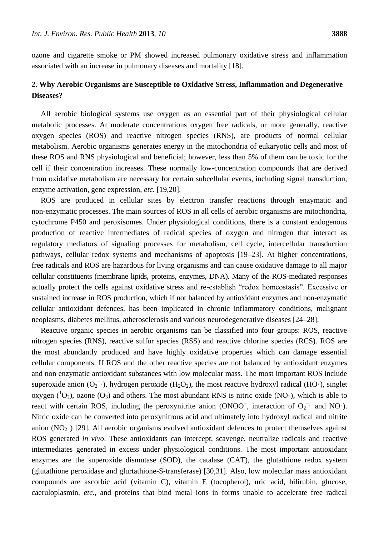ozone and cigarette smoke or PM showed increased pulmonary oxidative stress and inflammation associated with an increase in pulmonary diseases and mortality [18].

# **2. Why Aerobic Organisms are Susceptible to Oxidative Stress, Inflammation and Degenerative Diseases?**

All aerobic biological systems use oxygen as an essential part of their physiological cellular metabolic processes. At moderate concentrations oxygen free radicals, or more generally, reactive oxygen species (ROS) and reactive nitrogen species (RNS), are products of normal cellular metabolism. Aerobic organisms generates energy in the mitochondria of eukaryotic cells and most of these ROS and RNS physiological and beneficial; however, less than 5% of them can be toxic for the cell if their concentration increases. These normally low-concentration compounds that are derived from oxidative metabolism are necessary for certain subcellular events, including signal transduction, enzyme activation, gene expression, *etc.* [19,20].

ROS are produced in cellular sites by electron transfer reactions through enzymatic and non-enzymatic processes. The main sources of ROS in all cells of aerobic organisms are mitochondria, cytochrome P450 and peroxisomes. Under physiological conditions, there is a constant endogenous production of reactive intermediates of radical species of oxygen and nitrogen that interact as regulatory mediators of signaling processes for metabolism, cell cycle, intercellular transduction pathways, cellular redox systems and mechanisms of apoptosis [19–23]. At higher concentrations, free radicals and ROS are hazardous for living organisms and can cause oxidative damage to all major cellular constituents (membrane lipids, proteins, enzymes, DNA). Many of the ROS-mediated responses actually protect the cells against oxidative stress and re-establish "redox homeostasis". Excessive or sustained increase in ROS production, which if not balanced by antioxidant enzymes and non-enzymatic cellular antioxidant defences, has been implicated in chronic inflammatory conditions, malignant neoplasms, diabetes mellitus, atherosclerosis and various neurodegenerative diseases [24–28].

Reactive organic species in aerobic organisms can be classified into four groups: ROS, reactive nitrogen species (RNS), reactive sulfur species (RSS) and reactive chlorine species (RCS). ROS are the most abundantly produced and have highly oxidative properties which can damage essential cellular components. If ROS and the other reactive species are not balanced by antioxidant enzymes and non enzymatic antioxidant substances with low molecular mass. The most important ROS include superoxide anion  $(O_2^-)$ , hydrogen peroxide  $(H_2O_2)$ , the most reactive hydroxyl radical (HO  $)$ , singlet oxygen  $({}^{1}O_{2})$ , ozone  $(O_{3})$  and others. The most abundant RNS is nitric oxide (NO), which is able to react with certain ROS, including the peroxynitrite anion (ONOO<sup>-</sup>, interaction of  $O_2^{\text{-}}$  and NO  $\cdot$ ). Nitric oxide can be converted into peroxynitrous acid and ultimately into hydroxyl radical and nitrite anion  $(NO<sub>2</sub><sup>-</sup>)$  [29]. All aerobic organisms evolved antioxidant defences to protect themselves against ROS generated *in vivo*. These antioxidants can intercept, scavenge, neutralize radicals and reactive intermediates generated in excess under physiological conditions. The most important antioxidant enzymes are the superoxide dismutase (SOD), the catalase (CAT), the glutathione redox system (glutathione peroxidase and glurtathione-S-transferase) [30,31]. Also, low molecular mass antioxidant compounds are ascorbic acid (vitamin C), vitamin E (tocopherol), uric acid, bilirubin, glucose, caeruloplasmin, *etc.*, and proteins that bind metal ions in forms unable to accelerate free radical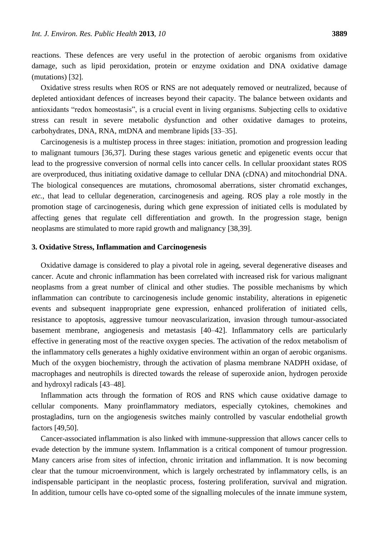reactions. These defences are very useful in the protection of aerobic organisms from oxidative damage, such as lipid peroxidation, protein or enzyme oxidation and DNA oxidative damage (mutations) [32].

Oxidative stress results when ROS or RNS are not adequately removed or neutralized, because of depleted antioxidant defences of increases beyond their capacity. The balance between oxidants and antioxidants "redox homeostasis", is a crucial event in living organisms. Subjecting cells to oxidative stress can result in severe metabolic dysfunction and other oxidative damages to proteins, carbohydrates, DNA, RNA, mtDNA and membrane lipids [33–35].

Carcinogenesis is a multistep process in three stages: initiation, promotion and progression leading to malignant tumours [36,37]. During these stages various genetic and epigenetic events occur that lead to the progressive conversion of normal cells into cancer cells. In cellular prooxidant states ROS are overproduced, thus initiating oxidative damage to cellular DNA (cDNA) and mitochondrial DNA. The biological consequences are mutations, chromosomal aberrations, sister chromatid exchanges, *etc.*, that lead to cellular degeneration, carcinogenesis and ageing. ROS play a role mostly in the promotion stage of carcinogenesis, during which gene expression of initiated cells is modulated by affecting genes that regulate cell differentiation and growth. In the progression stage, benign neoplasms are stimulated to more rapid growth and malignancy [38,39].

#### **3. Oxidative Stress, Inflammation and Carcinogenesis**

Oxidative damage is considered to play a pivotal role in ageing, several degenerative diseases and cancer. Acute and chronic inflammation has been correlated with increased risk for various malignant neoplasms from a great number of clinical and other studies. The possible mechanisms by which inflammation can contribute to carcinogenesis include genomic instability, alterations in epigenetic events and subsequent inappropriate gene expression, enhanced proliferation of initiated cells, resistance to apoptosis, aggressive tumour neovascularization, invasion through tumour-associated basement membrane, angiogenesis and metastasis [40–42]. Inflammatory cells are particularly effective in generating most of the reactive oxygen species. The activation of the redox metabolism of the inflammatory cells generates a highly oxidative environment within an organ of aerobic organisms. Much of the oxygen biochemistry, through the activation of plasma membrane NADPH oxidase, of macrophages and neutrophils is directed towards the release of superoxide anion, hydrogen peroxide and hydroxyl radicals [43–48].

Inflammation acts through the formation of ROS and RNS which cause oxidative damage to cellular components. Many proinflammatory mediators, especially cytokines, chemokines and prostagladins, turn on the angiogenesis switches mainly controlled by vascular endothelial growth factors [49,50].

Cancer-associated inflammation is also linked with immune-suppression that allows cancer cells to evade detection by the immune system. Inflammation is a critical component of tumour progression. Many cancers arise from sites of infection, chronic irritation and inflammation. It is now becoming clear that the tumour microenvironment, which is largely orchestrated by inflammatory cells, is an indispensable participant in the neoplastic process, fostering proliferation, survival and migration. In addition, tumour cells have co-opted some of the signalling molecules of the innate immune system,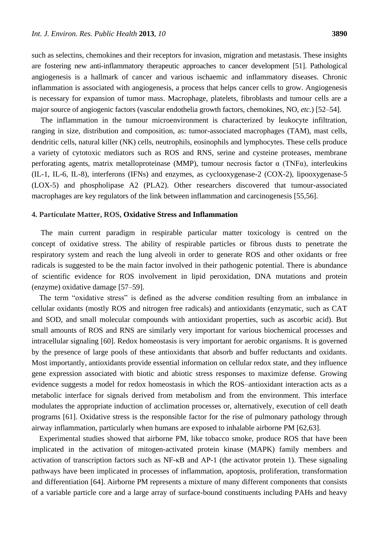such as selectins, chemokines and their receptors for invasion, migration and metastasis. These insights are fostering new anti-inflammatory therapeutic approaches to cancer development [51]. Pathological angiogenesis is a hallmark of cancer and various ischaemic and inflammatory diseases. Chronic inflammation is associated with angiogenesis, a process that helps cancer cells to grow. Angiogenesis is necessary for expansion of tumor mass. Macrophage, platelets, fibroblasts and tumour cells are a major source of angiogenic factors (vascular endothelia growth factors, chemokines, NO, *etc.*) [52–54].

The inflammation in the tumour microenvironment is characterized by leukocyte infiltration, ranging in size, distribution and composition, as: tumor-associated macrophages (TAM), mast cells, dendritic cells, natural killer (NK) cells, neutrophils, eosinophils and lymphocytes. These cells produce a variety of cytotoxic mediators such as ROS and RNS, serine and cysteine proteases, membrane perforating agents, matrix metalloproteinase (MMP), tumour necrosis factor  $\alpha$  (TNF $\alpha$ ), interleukins (IL-1, IL-6, IL-8), interferons (IFNs) and enzymes, as cyclooxygenase-2 (COX-2), lipooxygenase-5 (LOX-5) and phospholipase A2 (PLA2). Other researchers discovered that tumour-associated macrophages are key regulators of the link between inflammation and carcinogenesis [55,56].

#### **4. Particulate Matter, ROS, Oxidative Stress and Inflammation**

The main current paradigm in respirable particular matter toxicology is centred on the concept of oxidative stress. The ability of respirable particles or fibrous dusts to penetrate the respiratory system and reach the lung alveoli in order to generate ROS and other oxidants or free radicals is suggested to be the main factor involved in their pathogenic potential. There is abundance of scientific evidence for ROS involvement in lipid peroxidation, DNA mutations and protein (enzyme) oxidative damage [57–59].

The term "oxidative stress" is defined as the adverse condition resulting from an imbalance in cellular oxidants (mostly ROS and nitrogen free radicals) and antioxidants (enzymatic, such as CAT and SOD, and small molecular compounds with antioxidant properties, such as ascorbic acid). But small amounts of ROS and RNS are similarly very important for various biochemical processes and intracellular signaling [60]. Redox homeostasis is very important for aerobic organisms. It is governed by the presence of large pools of these antioxidants that absorb and buffer reductants and oxidants. Most importantly, antioxidants provide essential information on cellular redox state, and they influence gene expression associated with biotic and abiotic stress responses to maximize defense. Growing evidence suggests a model for redox homeostasis in which the ROS–antioxidant interaction acts as a metabolic interface for signals derived from metabolism and from the environment. This interface modulates the appropriate induction of acclimation processes or, alternatively, execution of cell death programs [61]. Oxidative stress is the responsible factor for the rise of pulmonary pathology through airway inflammation, particularly when humans are exposed to inhalable airborne PM [62,63].

Experimental studies showed that airborne PM, like tobacco smoke, produce ROS that have been implicated in the activation of mitogen-activated protein kinase (MAPK) family members and activation of transcription factors such as NF-κB and AP-1 (the activator protein 1). These signaling pathways have been implicated in processes of inflammation, apoptosis, proliferation, transformation and differentiation [64]. Airborne PM represents a mixture of many different components that consists of a variable particle core and a large array of surface-bound constituents including PAHs and heavy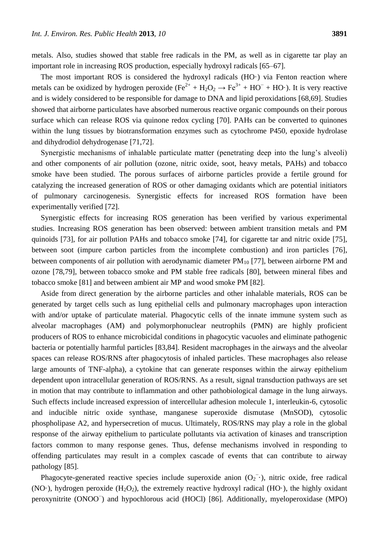metals. Also, studies showed that stable free radicals in the PM, as well as in cigarette tar play an important role in increasing ROS production, especially hydroxyl radicals [65–67].

The most important ROS is considered the hydroxyl radicals (HO  $\cdot$ ) via Fenton reaction where metals can be oxidized by hydrogen peroxide ( $Fe^{2+} + H_2O_2 \rightarrow Fe^{3+} + HO^- + HO$ ). It is very reactive and is widely considered to be responsible for damage to DNA and lipid peroxidations [68,69]. Studies showed that airborne particulates have absorbed numerous reactive organic compounds on their porous surface which can release ROS via quinone redox cycling [70]. PAHs can be converted to quinones within the lung tissues by biotransformation enzymes such as cytochrome P450, epoxide hydrolase and dihydrodiol dehydrogenase [71,72].

Synergistic mechanisms of inhalable particulate matter (penetrating deep into the lung's alveoli) and other components of air pollution (ozone, nitric oxide, soot, heavy metals, PAHs) and tobacco smoke have been studied. The porous surfaces of airborne particles provide a fertile ground for catalyzing the increased generation of ROS or other damaging oxidants which are potential initiators of pulmonary carcinogenesis. Synergistic effects for increased ROS formation have been experimentally verified [72].

Synergistic effects for increasing ROS generation has been verified by various experimental studies. Increasing ROS generation has been observed: between ambient transition metals and PM quinoids [73], for air pollution PAHs and tobacco smoke [74], for cigarette tar and nitric oxide [75], between soot (impure [carbon](http://en.wikipedia.org/wiki/Carbon) particles from the incomplete combustion) and iron particles [76], between components of air pollution with aerodynamic diameter  $PM_{10}$  [77], between airborne PM and ozone [78,79], between tobacco smoke and PM stable free radicals [80], between mineral fibes and tobacco smoke [81] and between ambient air MP and wood smoke PM [82].

Aside from direct generation by the airborne particles and other inhalable materials, ROS can be generated by target cells such as lung epithelial cells and pulmonary macrophages upon interaction with and/or uptake of particulate material. Phagocytic cells of the innate immune system such as alveolar macrophages (AM) and polymorphonuclear neutrophils (PMN) are highly proficient producers of ROS to enhance microbicidal conditions in phagocytic vacuoles and eliminate pathogenic bacteria or potentially harmful particles [83,84]. Resident macrophages in the airways and the alveolar spaces can release ROS/RNS after phagocytosis of inhaled particles. These macrophages also release large amounts of TNF-alpha), a cytokine that can generate responses within the airway epithelium dependent upon intracellular generation of ROS/RNS. As a result, signal transduction pathways are set in motion that may contribute to inflammation and other pathobiological damage in the lung airways. Such effects include increased expression of intercellular adhesion molecule 1, interleukin-6, cytosolic and inducible nitric oxide synthase, manganese superoxide dismutase (MnSOD), cytosolic phospholipase A2, and hypersecretion of mucus. Ultimately, ROS/RNS may play a role in the global response of the airway epithelium to particulate pollutants via activation of kinases and transcription factors common to many response genes. Thus, defense mechanisms involved in responding to offending particulates may result in a complex cascade of events that can contribute to airway pathology [85].

Phagocyte-generated reactive species include superoxide anion  $(O_2^-)$ , nitric oxide, free radical (NO), hydrogen peroxide  $(H_2O_2)$ , the extremely reactive hydroxyl radical (HO), the highly oxidant peroxynitrite (ONOO<sup>-</sup>) and hypochlorous acid (HOCl) [86]. Additionally, myeloperoxidase (MPO)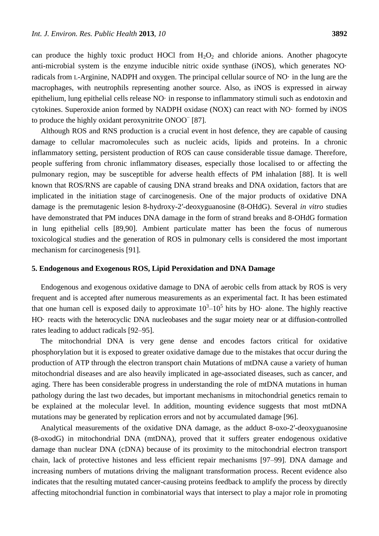can produce the highly toxic product HOCl from  $H_2O_2$  and chloride anions. Another phagocyte anti-microbial system is the enzyme inducible nitric oxide synthase (iNOS), which generates NO· radicals from L-Arginine, NADPH and oxygen. The principal cellular source of NO·in the lung are the macrophages, with neutrophils representing another source. Also, as iNOS is expressed in airway epithelium, lung epithelial cells release NO·in response to inflammatory stimuli such as endotoxin and cytokines. Superoxide anion formed by NADPH oxidase (NOX) can react with NO·formed by iNOS to produce the highly oxidant peroxynitrite ONOO<sup>−</sup> [87].

Although ROS and RNS production is a crucial event in host defence, they are capable of causing damage to cellular macromolecules such as nucleic acids, lipids and proteins. In a chronic inflammatory setting, persistent production of ROS can cause considerable tissue damage. Therefore, people suffering from chronic inflammatory diseases, especially those localised to or affecting the pulmonary region, may be susceptible for adverse health effects of PM inhalation [88]. It is well known that ROS/RNS are capable of causing DNA strand breaks and DNA oxidation, factors that are implicated in the initiation stage of carcinogenesis. One of the major products of oxidative DNA damage is the premutagenic lesion 8-hydroxy-2′-deoxyguanosine (8-OHdG). Several *in vitro* studies have demonstrated that PM induces DNA damage in the form of strand breaks and 8-OHdG formation in lung epithelial cells [89,90]. Ambient particulate matter has been the focus of numerous toxicological studies and the generation of ROS in pulmonary cells is considered the most important mechanism for carcinogenesis [91].

#### **5. Endogenous and Exogenous ROS, Lipid Peroxidation and DNA Damage**

Endogenous and exogenous oxidative damage to DNA of aerobic cells from attack by ROS is very frequent and is accepted after numerous measurements as an experimental fact. It has been estimated that one human cell is exposed daily to approximate  $10^3 - 10^5$  hits by HO · alone. The highly reactive HO·reacts with the heterocyclic DNA nucleobases and the sugar moiety near or at diffusion-controlled rates leading to adduct radicals [92–95].

The mitochondrial DNA is very gene dense and encodes factors critical for oxidative phosphorylation but it is exposed to greater oxidative damage due to the mistakes that occur during the production of ATP through the electron transport chain Mutations of mtDNA cause a variety of human mitochondrial diseases and are also heavily implicated in age-associated diseases, such as cancer, and aging. There has been considerable progress in understanding the role of mtDNA mutations in human pathology during the last two decades, but important mechanisms in mitochondrial genetics remain to be explained at the molecular level. In addition, mounting evidence suggests that most mtDNA mutations may be generated by replication errors and not by accumulated damage [96].

Analytical measurements of the oxidative DNA damage, as the adduct 8-oxo-2′-deoxyguanosine (8-oxodG) in mitochondrial DNA (mtDNA), proved that it suffers greater endogenous oxidative damage than nuclear DNA (cDNA) because of its proximity to the mitochondrial electron transport chain, lack of protective histones and less efficient repair mechanisms [97–99]. DNA damage and increasing numbers of mutations driving the malignant transformation process. Recent evidence also indicates that the resulting mutated cancer-causing proteins feedback to amplify the process by directly affecting mitochondrial function in combinatorial ways that intersect to play a major role in promoting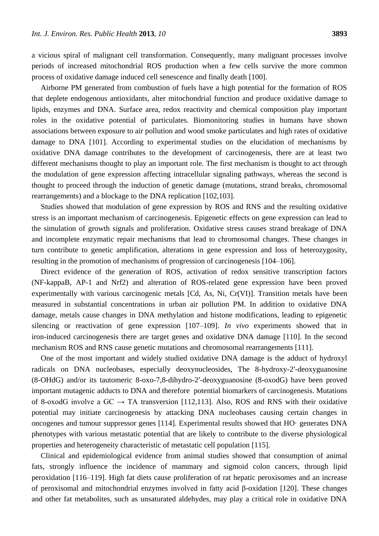a vicious spiral of malignant cell transformation. Consequently, many malignant processes involve periods of increased mitochondrial ROS production when a few cells survive the more common process of oxidative damage induced cell senescence and finally death [100].

Airborne PM generated from combustion of fuels have a high potential for the formation of ROS that deplete endogenous antioxidants, alter mitochondrial function and produce oxidative damage to lipids, enzymes and DNA. Surface area, redox reactivity and chemical composition play important roles in the oxidative potential of particulates. Biomonitoring studies in humans have shown associations between exposure to air pollution and wood smoke particulates and high rates of oxidative damage to DNA [101]. According to experimental studies on the elucidation of mechanisms by oxidative DNA damage contributes to the development of carcinogenesis, there are at least two different mechanisms thought to play an important role. The first mechanism is thought to act through the modulation of gene expression affecting intracellular signaling pathways, whereas the second is thought to proceed through the induction of genetic damage (mutations, strand breaks, chromosomal rearrangements) and a blockage to the DNA replication [102,103].

Studies showed that modulation of gene expression by ROS and RNS and the resulting oxidative stress is an important mechanism of carcinogenesis. Epigenetic effects on gene expression can lead to the simulation of growth signals and proliferation. Oxidative stress causes strand breakage of DNA and incomplete enzymatic repair mechanisms that lead to chromosomal changes. These changes in turn contribute to genetic amplification, alterations in gene expression and loss of heterozygosity, resulting in the promotion of mechanisms of progression of carcinogenesis [104–106].

Direct evidence of the generation of ROS, activation of redox sensitive transcription factors (NF-kappaB, AP-1 and Nrf2) and alteration of ROS-related gene expression have been proved experimentally with various carcinogenic metals [Cd, As, Ni, Cr(VI)]. Transition metals have been measured in substantial concentrations in urban air pollution PM. In addition to oxidative DNA damage, metals cause changes in DNA methylation and histone modifications, leading to epigenetic silencing or reactivation of gene expression [107–109]. *In vivo* experiments showed that in iron-induced carcinogenesis there are target genes and oxidative DNA damage [110]. In the second mechanism ROS and RNS cause genetic mutations and chromosomal rearrangements [111].

One of the most important and widely studied oxidative DNA damage is the adduct of hydroxyl radicals on DNA nucleobases, especially deoxynucleosides, The 8-hydroxy-2′-deoxyguanosine (8-OHdG) and/or its tautomeric 8-oxo-7,8-dihydro-2′-deoxyguanosine (8-oxodG) have been proved important mutagenic adducts to DNA and therefore potential biomarkers of carcinogenesis. Mutations of 8-oxodG involve a  $GC \rightarrow TA$  transversion [112,113]. Also, ROS and RNS with their oxidative potential may initiate carcinogenesis by attacking DNA nucleobases causing certain changes in oncogenes and tumour suppressor genes [114]. Experimental results showed that HO·generates DNA phenotypes with various metastatic potential that are likely to contribute to the diverse physiological properties and heterogeneity characteristic of metastatic cell population [115].

Clinical and epidemiological evidence from animal studies showed that consumption of animal fats, strongly influence the incidence of mammary and sigmoid colon cancers, through lipid peroxidation [116–119]. High fat diets cause proliferation of rat hepatic peroxisomes and an increase of peroxisomal and mitochondrial enzymes involved in fatty acid β-oxidation [120]. These changes and other fat metabolites, such as unsaturated aldehydes, may play a critical role in oxidative DNA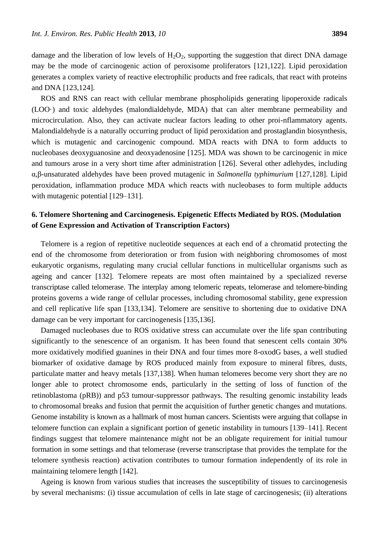damage and the liberation of low levels of  $H_2O_2$ , supporting the suggestion that direct DNA damage may be the mode of carcinogenic action of peroxisome proliferators [121,122]. Lipid peroxidation generates a complex variety of reactive electrophilic products and free radicals, that react with proteins and DNA [123,124].

ROS and RNS can react with cellular membrane phospholipids generating lipoperoxide radicals (LOO·) and toxic aldehydes (malondialdehyde, MDA) that can alter membrane permeability and microcirculation. Also, they can activate nuclear factors leading to other proi-nflammatory agents. Malondialdehyde is a naturally occurring product of lipid peroxidation and prostaglandin biosynthesis, which is mutagenic and carcinogenic compound. MDA reacts with DNA to form adducts to nucleobases deoxyguanosine and deoxyadenosine [125]. MDA was shown to be carcinogenic in mice and tumours arose in a very short time after administration [126]. Several other adlehydes, including α,β-unsaturated aldehydes have been proved mutagenic in *Salmonella typhimurium* [127,128]. Lipid peroxidation, inflammation produce MDA which reacts with nucleobases to form multiple adducts with mutagenic potential [129–131].

## **6. Telomere Shortening and Carcinogenesis. Epigenetic Effects Mediated by ROS. (Modulation of Gene Expression and Activation of Transcription Factors)**

Telomere is a region of repetitive [nucleotide](http://en.wikipedia.org/wiki/Nucleotide) sequences at each end of a [chromatid](http://en.wikipedia.org/wiki/Chromatid) protecting the end of the chromosome from deterioration or from fusion with neighboring chromosomes of most [eukaryotic](http://en.wikipedia.org/wiki/Eukaryote) organisms, regulating many crucial cellular functions in multicellular organisms such as ageing and cancer [132]. Telomere repeats are most often maintained by a specialized reverse transcriptase called telomerase. The interplay among telomeric repeats, telomerase and telomere-binding proteins governs a wide range of cellular processes, including chromosomal stability, gene expression and cell replicative life span [133,134]. Telomere are sensitive to shortening due to oxidative DNA damage can be very important for carcinogenesis [135,136].

Damaged nucleobases due to ROS oxidative stress can accumulate over the life span contributing significantly to the senescence of an organism. It has been found that senescent cells contain 30% more oxidatively modified guanines in their DNA and four times more 8-oxodG bases, a well studied biomarker of oxidative damage by ROS produced mainly from exposure to mineral fibres, dusts, particulate matter and heavy metals [137,138]. When human telomeres become very short they are no longer able to protect chromosome ends, particularly in the setting of loss of function of the retinoblastoma (pRB)) and p53 tumour-suppressor pathways. The resulting genomic instability leads to chromosomal breaks and fusion that permit the acquisition of further genetic changes and mutations. Genome instability is known as a hallmark of most human cancers. Scientists were arguing that collapse in telomere function can explain a significant portion of genetic instability in tumours [139–141]. Recent findings suggest that telomere maintenance might not be an obligate requirement for initial tumour formation in some settings and that telomerase (reverse transcriptase that provides the template for the telomere synthesis reaction) activation contributes to tumour formation independently of its role in maintaining telomere length [142].

Ageing is known from various studies that increases the susceptibility of tissues to carcinogenesis by several mechanisms: (i) tissue accumulation of cells in late stage of carcinogenesis; (ii) alterations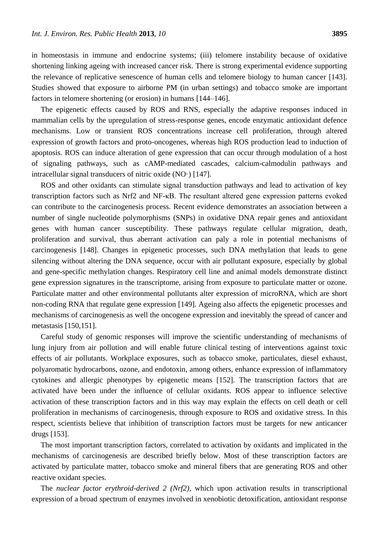in homeostasis in immune and endocrine systems; (iii) telomere instability because of oxidative shortening linking ageing with increased cancer risk. There is strong experimental evidence supporting the relevance of replicative senescence of human cells and telomere biology to human cancer [143]. Studies showed that exposure to airborne PM (in urban settings) and tobacco smoke are important factors in telomere shortening (or erosion) in humans [144–146].

The epigenetic effects caused by ROS and RNS, especially the adaptive responses induced in mammalian cells by the upregulation of stress-response genes, encode enzymatic antioxidant defence mechanisms. Low or transient ROS concentrations increase cell proliferation, through altered expression of growth factors and proto-oncogenes, whereas high ROS production lead to induction of apoptosis. ROS can induce alteration of gene expression that can occur through modulation of a host of signaling pathways, such as cAMP-mediated cascades, calcium-calmodulin pathways and intracellular signal transducers of nitric oxide  $(NO)$  [147].

ROS and other oxidants can stimulate signal transduction pathways and lead to activation of key transcription factors such as Nrf2 and NF-κB. The resultant altered gene expression patterns evoked can contribute to the carcinogenesis process. Recent evidence demonstrates an association between a number of single nucleotide polymorphisms (SNPs) in oxidative DNA repair genes and antioxidant genes with human cancer susceptibility. These pathways regulate cellular migration, death, proliferation and survival, thus aberrant activation can paly a role in potential mechanisms of carcinogenesis [148]. Changes in epigenetic processes, such DNA methylation that leads to gene silencing without altering the DNA sequence, occur with air pollutant exposure, especially by global and gene-specific methylation changes. Respiratory cell line and animal models demonstrate distinct gene expression signatures in the transcriptome, arising from exposure to particulate matter or ozone. Particulate matter and other environmental pollutants alter expression of microRNA, which are short non-coding RNA that regulate gene expression [149]. Ageing also affects the epigenetic processes and mechanisms of carcinogenesis as well the oncogene expression and inevitably the spread of cancer and metastasis [150,151].

Careful study of genomic responses will improve the scientific understanding of mechanisms of lung injury from air pollution and will enable future clinical testing of interventions against toxic effects of air pollutants. Workplace exposures, such as tobacco smoke, particulates, diesel exhaust, polyaromatic hydrocarbons, ozone, and endotoxin, among others, enhance expression of inflammatory cytokines and allergic phenotypes by epigenetic means [152]. The transcription factors that are activated have been under the influence of cellular oxidants. ROS appear to influence selective activation of these transcription factors and in this way may explain the effects on cell death or cell proliferation in mechanisms of carcinogenesis, through exposure to ROS and oxidative stress. In this respect, scientists believe that inhibition of transcription factors must be targets for new anticancer drugs [153].

The most important transcription factors, correlated to activation by oxidants and implicated in the mechanisms of carcinogenesis are described briefly below. Most of these transcription factors are activated by particulate matter, tobacco smoke and mineral fibers that are generating ROS and other reactive oxidant species.

The *nuclear factor erythroid-derived 2 (Nrf2)*, which upon activation results in transcriptional expression of a broad spectrum of enzymes involved in xenobiotic detoxification, antioxidant response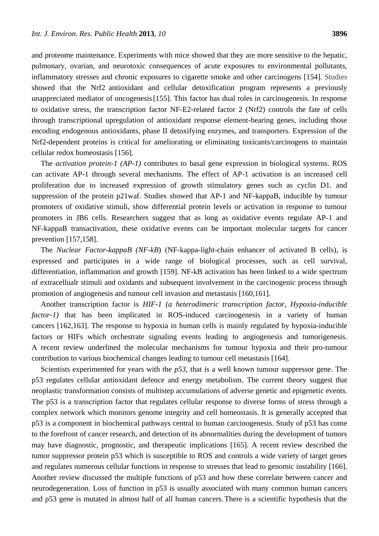and proteome maintenance. Experiments with mice showed that they are more sensitive to the hepatic, pulmonary, ovarian, and neurotoxic consequences of acute exposures to environmental pollutants, inflammatory stresses and chronic exposures to cigarette smoke and other carcinogens [154]. Studies showed that the Nrf2 antioxidant and cellular detoxification program represents a previously unappreciated mediator of oncogenesis[155]. This factor has dual roles in carcinogenesis. In response to oxidative stress, the transcription factor NF-E2-related factor 2 (Nrf2) controls the fate of cells through transcriptional upregulation of antioxidant response element-bearing genes, including those encoding endogenous antioxidants, phase II detoxifying enzymes, and transporters. Expression of the Nrf2-dependent proteins is critical for ameliorating or eliminating toxicants/carcinogens to maintain cellular redox homeostasis [156].

The *activation protein-1 (AP-1)* contributes to basal gene expression in biological systems. ROS can activate AP-1 through several mechanisms. The effect of AP-1 activation is an increased cell proliferation due to increased expression of growth stimulatory genes such as cyclin D1. and suppression of the protein p21waf. Studies showed that AP-1 and NF-kappaB, inducible by tumour promoters of oxidative stimuli, show differential protein levels or activation in response to tumour promoters in JB6 cells. Researchers suggest that as long as oxidative events regulate AP-1 and NF-kappaB transactivation, these oxidative events can be important molecular targets for cancer prevention [157,158].

The *Nuclear Factor-kappaB (NF-kB*) (NF-kappa-light-chain enhancer of activated B cells), is expressed and participates in a wide range of biological processes, such as cell survival, differentiation, inflammation and growth [159]. NF-kB activation has been linked to a wide spectrum of extracellualr stimuli and oxidants and subsequent involvement in the carcinogenic process through promotion of angiogenesis and tumour cell invasion and metastasis [160,161].

Another transcription factor is *HIF-1 (a heterodimeric transcription factor*, *Hypoxia-inducible factor-1*) that has been implicated in ROS-induced carcinogenesis in a variety of human cancers [162,163]. The response to hypoxia in human cells is mainly regulated by hypoxia-inducible factors or HIFs which orchestrate signaling events leading to angiogenesis and tumorigenesis. A recent review underlined the molecular mechanisms for tumour hypoxia and their pro-tumour contribution to various biochemical changes leading to tumour cell metastasis [164].

Scientists experimented for years with the *p53*, that is a well known tumour suppressor gene. The p53 regulates cellular antioxidant defence and energy metabolism. The current theory suggest that neoplastic transformation consists of multistep accumulations of adverse genetic and epigenetic events. The p53 is a transcription factor that regulates cellular response to diverse forms of stress through a complex network which monitors genome integrity and cell homeostasis. It is generally accepted that p53 is a component in biochemical pathways central to human carcinogenesis. Study of p53 has come to the forefront of cancer research, and detection of its abnormalities during the development of tumors may have diagnostic, prognostic, and therapeutic implications [165]. A recent review described the tumor suppressor protein p53 which is susceptible to ROS and controls a wide variety of target genes and regulates numerous cellular functions in response to stresses that lead to genomic instability [166]. Another review discussed the multiple functions of p53 and how these correlate between cancer and neurodegeneration. Loss of function in p53 is usually associated with many common human cancers and p53 gene is mutated in almost half of all human cancers.There is a scientific hypothesis that the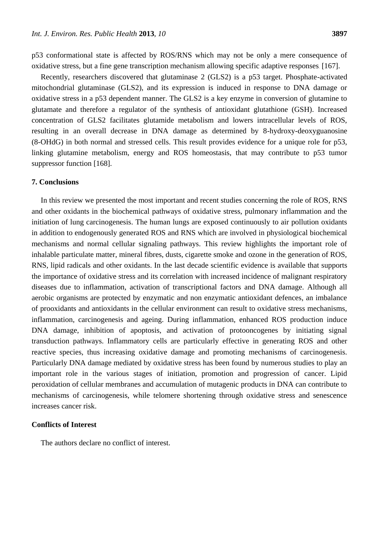p53 conformational state is affected by ROS/RNS which may not be only a mere consequence of oxidative stress, but a fine gene transcription mechanism allowing specific adaptive responses. [167].

Recently, researchers discovered that glutaminase 2 (GLS2) is a p53 target. Phosphate-activated mitochondrial glutaminase (GLS2), and its expression is induced in response to DNA damage or oxidative stress in a p53 dependent manner. The GLS2 is a key enzyme in conversion of glutamine to glutamate and therefore a regulator of the synthesis of antioxidant glutathione (GSH). Increased concentration of GLS2 facilitates glutamide metabolism and lowers intracellular levels of ROS, resulting in an overall decrease in DNA damage as determined by 8-hydroxy-deoxyguanosine (8-OHdG) in both normal and stressed cells. This result provides evidence for a unique role for p53, linking glutamine metabolism, energy and ROS homeostasis, that may contribute to p53 tumor suppressor function [168].

#### **7. Conclusions**

In this review we presented the most important and recent studies concerning the role of ROS, RNS and other oxidants in the biochemical pathways of oxidative stress, pulmonary inflammation and the initiation of lung carcinogenesis. The human lungs are exposed continuously to air pollution oxidants in addition to endogenously generated ROS and RNS which are involved in physiological biochemical mechanisms and normal cellular signaling pathways. This review highlights the important role of inhalable particulate matter, mineral fibres, dusts, cigarette smoke and ozone in the generation of ROS, RNS, lipid radicals and other oxidants. In the last decade scientific evidence is available that supports the importance of oxidative stress and its correlation with increased incidence of malignant respiratory diseases due to inflammation, activation of transcriptional factors and DNA damage. Although all aerobic organisms are protected by enzymatic and non enzymatic antioxidant defences, an imbalance of prooxidants and antioxidants in the cellular environment can result to oxidative stress mechanisms, inflammation, carcinogenesis and ageing. During inflammation, enhanced ROS production induce DNA damage, inhibition of apoptosis, and activation of protooncogenes by initiating signal transduction pathways. Inflammatory cells are particularly effective in generating ROS and other reactive species, thus increasing oxidative damage and promoting mechanisms of carcinogenesis. Particularly DNA damage mediated by oxidative stress has been found by numerous studies to play an important role in the various stages of initiation, promotion and progression of cancer. Lipid peroxidation of cellular membranes and accumulation of mutagenic products in DNA can contribute to mechanisms of carcinogenesis, while telomere shortening through oxidative stress and senescence increases cancer risk.

### **Conflicts of Interest**

The authors declare no conflict of interest.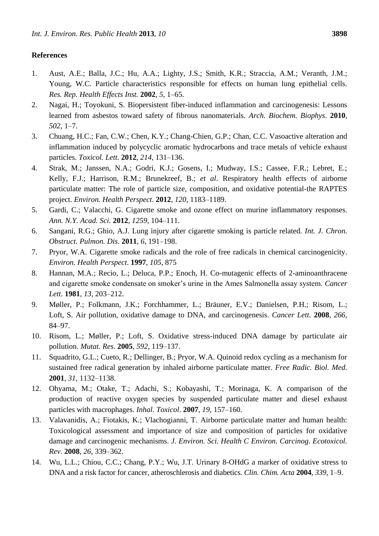## **References**

- 1. Aust, A.E.; Balla, J.C.; Hu, A.A.; Lighty, J.S.; Smith, K.R.; Straccia, A.M.; Veranth, J.M.; Young, W.C. Particle characteristics responsible for effects on human lung epithelial cells. *Res. Rep. Health Effects Inst.* **2002**, *5*, 1–65.
- 2. Nagai, H.; Toyokuni, S. [Biopersistent fiber-induced inflammation and carcinogenesis: Lessons](http://www.ncbi.nlm.nih.gov/pubmed/20599674)  [learned from asbestos toward safety of fibrous nanomaterials.](http://www.ncbi.nlm.nih.gov/pubmed/20599674) *Arch. Biochem. Biophys*. **2010**, *502*, 1–7.
- 3. Chuang, H.C.; Fan, C.W.; Chen, K.Y.; Chang-Chien, G.P.; Chan, C.C. [Vasoactive alteration and](http://www.ncbi.nlm.nih.gov/pubmed/22940192) inflammation [induced by polycyclic aromatic hydrocarbons and trace metals of vehicle exhaust](http://www.ncbi.nlm.nih.gov/pubmed/22940192)  [particles.](http://www.ncbi.nlm.nih.gov/pubmed/22940192) *Toxicol. Lett.* **2012**, *214*, 131–136.
- 4. Strak, M.; Janssen, N.A.; Godri, K.J.; Gosens, I.; Mudway, I.S.; Cassee, F.R.; Lebret, E.; Kelly, F.J.; Harrison, R.M.; Brunekreef, B.; *et al*. Respiratory [health effects of airborne](http://www.ncbi.nlm.nih.gov/pubmed/22552951) [particulate matter: The role of particle size, composition, and oxidative potential-the RAPTES](http://www.ncbi.nlm.nih.gov/pubmed/22552951)  [project.](http://www.ncbi.nlm.nih.gov/pubmed/22552951) *Environ. Health Perspect*. **2012**, *120*, 1183–1189.
- 5. Gardi, C.; Valacchi, G. Cigarette smoke and ozone effect on murine inflammatory responses. *Ann. N.Y. Acad. Sci.* **2012**, *1259*, 104–111.
- 6. Sangani, R.G.; Ghio, A.J. [Lung injury after cigarette smoking is particle related.](http://www.ncbi.nlm.nih.gov/pubmed/21660296) *Int. J. Chron. Obstruct. Pulmon. Dis*. **2011**, *6*, 191–198.
- 7. Pryor, W.A. Cigarette smoke radicals and the role of free radicals [in chemical carcinogenicity.](http://www.ncbi.nlm.nih.gov/pubmed/9255574) *Environ. Health Perspect*. **1997**, *105*, 875
- 8. Hannan, M.A.; Recio, L.; Deluca, P.P.; Enoch, H. Co-mutagenic effects of 2-aminoanthracene and cigarette smoke condensate on smoker's urine in the Ames Salmonella assay system. *Cancer Lett*. **1981**, *13*, 203–212.
- 9. [Møller,](http://www.sciencedirect.com/science/article/pii/S0304383508001456) P.; [Folkmann,](http://www.sciencedirect.com/science/article/pii/S0304383508001456) J.K.; [Forchhammer,](http://www.sciencedirect.com/science/article/pii/S0304383508001456) L.; [Bräuner,](http://www.sciencedirect.com/science/article/pii/S0304383508001456) E.V.; [Danielsen,](http://www.sciencedirect.com/science/article/pii/S0304383508001456) P.H.; [Risom,](http://www.sciencedirect.com/science/article/pii/S0304383508001456) L.[;](http://www.sciencedirect.com/science/article/pii/S0304383508001456) [Loft,](http://www.sciencedirect.com/science/article/pii/S0304383508001456) S. Air pollution, oxidative damage to DNA, and carcinogenesis. *Cancer Lett*. **2008**, *266*, 84–97.
- 10. Risom, L.; [Møller,](http://www.sciencedirect.com/science/article/pii/S0304383508001456) P.; Loft, S. Oxidative stress-induced DNA damage by particulate air pollution. *Mutat. Res*. **2005**, *592*, 119–137.
- 11. Squadrito, G.L.; Cueto, R.; Dellinger, B.; Pryor, W.A. Quinoid redox cycling as a mechanism for sustained free radical generation by inhaled airborne particulate matter. *Free Radic. Biol. Med*. **2001**, *31*, 1132–1138.
- 12. Ohyama, M.; Otake, T.; Adachi, S.; Kobayashi, T.; Morinaga, K. A comparison of the production of reactive oxygen species by suspended particulate matter and diesel exhaust particles with macrophages. *[Inhal. Toxicol](http://www.ncbi.nlm.nih.gov/pubmed/17886063)*. **2007**, *19*, 157–160.
- 13. Valavanidis, A.; Fiotakis, K.; Vlachogianni, T. Airborne particulate matter [and human health:](http://www.ncbi.nlm.nih.gov/pubmed/19034792)  [Toxicological assessment and importance of size and composition of particles for oxidative](http://www.ncbi.nlm.nih.gov/pubmed/19034792)  [damage and carcinogenic mechanisms.](http://www.ncbi.nlm.nih.gov/pubmed/19034792) *J. Environ. Sci. Health C Environ. Carcinog. Ecotoxicol. Rev*. **2008**, *26*, 339–362.
- 14. Wu, L.L.; Chiou, C.C.; Chang, P.Y.; Wu, J.T. Urinary 8-OHdG a marker of oxidative stress to DNA and a risk factor for cancer, atheroschlerosis and diabetics. *Clin. Chim. Acta* **2004**, *339*, 1–9.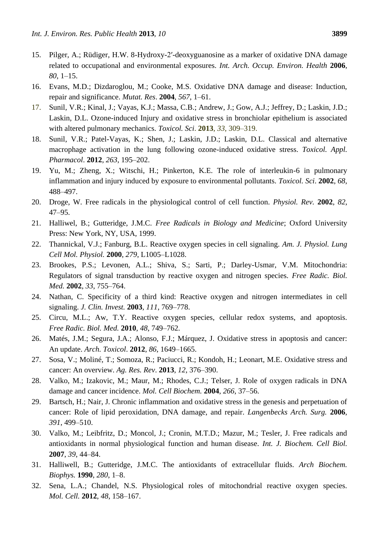- 15. Pilger, A.; Rüdiger, H.W. 8-Hydroxy-2′-deoxyguanosine as a marker of oxidative DNA damage related to occupational and environmental exposures. *Int. Arch. Occup. Environ. Health* **2006**, *80*, 1–15.
- 16. Evans, M.D.; Dizdaroglou, M.; Cooke, M.S. Oxidative DNA damage and disease: Induction, repair and significance. *Mutat. Res*. **2004**, *567*, 1–61.
- 17. [Sunil,](http://toxsci.oxfordjournals.org/search?author1=Vasanthi+R.+Sunil&sortspec=date&submit=Submit) V.R.; Kinal, J.; [Vayas,](http://toxsci.oxfordjournals.org/search?author1=Kinal+J.+Vayas&sortspec=date&submit=Submit) K.J.; [Massa,](http://toxsci.oxfordjournals.org/search?author1=Christopher+B.+Massa&sortspec=date&submit=Submit) C.B.; [Andrew,](http://toxsci.oxfordjournals.org/search?author1=Andrew+J.+Gow&sortspec=date&submit=Submit) J.; Gow, A.J.; [Jeffrey,](http://toxsci.oxfordjournals.org/search?author1=Jeffrey+D.+Laskin&sortspec=date&submit=Submit) D.; Laskin, J.D.[;](http://toxsci.oxfordjournals.org/search?author1=Debra+L.+Laskin&sortspec=date&submit=Submit) [Laskin,](http://toxsci.oxfordjournals.org/search?author1=Debra+L.+Laskin&sortspec=date&submit=Submit) D.L. Ozone-induced Injury and oxidative stress in bronchiolar epithelium is associated with altered pulmonary mechanics. *Toxicol. Sci*. **2013**, *33*, 309–319.
- 18. [Sunil,](http://www.sciencedirect.com/science/article/pii/S0041008X12002682) V.R.; [Patel-Vayas,](http://www.sciencedirect.com/science/article/pii/S0041008X12002682) K.; [Shen,](http://www.sciencedirect.com/science/article/pii/S0041008X12002682) J.; [Laskin,](http://www.sciencedirect.com/science/article/pii/S0041008X12002682) J.D.; [Laskin,](http://www.sciencedirect.com/science/article/pii/S0041008X12002682) D.L. Classical and alternative macrophage activation in the lung following ozone-induced oxidative stress. *[Toxicol.](http://www.sciencedirect.com/science/journal/0041008X) Appl. [Pharmacol](http://www.sciencedirect.com/science/journal/0041008X)*. **[2012](http://www.sciencedirect.com/science/journal/0041008X)**, *263*, 195–202.
- 19. Yu, M.; Zheng, X.; Witschi, H.; Pinkerton, K.E. The role of interleukin-6 in pulmonary inflammation and injury induced by exposure to environmental pollutants. *Toxicol. Sci*. **2002**, *68*, 488–497.
- 20. Droge, W. Free radicals in the physiological control of cell function. *Physiol. Rev.* **2002**, *82*, 47–95.
- 21. Halliwel, B.; Gutteridge, J.M.C. *Free Radicals in Biology and Medicine*; Oxford University Press: New York, NY, USA, 1999.
- 22. Thannickal, V.J.; Fanburg, B.L. Reactive oxygen species in cell signaling. *Am. J. Physiol. Lung Cell Mol. Physiol.* **2000**, *279*, L1005–L1028.
- 23. Brookes, P.S.; Levonen, A.L.; Shiva, S.; Sarti, P.; Darley-Usmar, V.M. Mitochondria: Regulators of signal transduction by reactive oxygen and nitrogen species. *Free Radic. Biol. Med.* **2002**, *33*, 755–764.
- 24. Nathan, C. Specificity of a third kind: Reactive oxygen and nitrogen intermediates in cell signaling. *J. Clin. Invest.* **2003**, *111*, 769–778.
- 25. Circu, M.L.; Aw, T.Y. Reactive oxygen species, cellular redox systems, and apoptosis. *Free Radic. Biol. Med.* **2010**, *48*, 749–762.
- 26. Matés, J.M.; Segura, J.A.; Alonso, F.J.; Márquez, J. Oxidative stress in apoptosis and cancer: An update. *Arch. Toxicol*. **2012**, *86*, 1649–1665.
- 27. [Sosa, V.](http://www.ncbi.nlm.nih.gov/pubmed?term=Sosa%20V%5BAuthor%5D&cauthor=true&cauthor_uid=23123177); [Moliné, T.](http://www.ncbi.nlm.nih.gov/pubmed?term=Molin%C3%A9%20T%5BAuthor%5D&cauthor=true&cauthor_uid=23123177); [Somoza, R.](http://www.ncbi.nlm.nih.gov/pubmed?term=Somoza%20R%5BAuthor%5D&cauthor=true&cauthor_uid=23123177); [Paciucci, R.](http://www.ncbi.nlm.nih.gov/pubmed?term=Paciucci%20R%5BAuthor%5D&cauthor=true&cauthor_uid=23123177); [Kondoh, H.](http://www.ncbi.nlm.nih.gov/pubmed?term=Kondoh%20H%5BAuthor%5D&cauthor=true&cauthor_uid=23123177); [Leonart, M.E.](http://www.ncbi.nlm.nih.gov/pubmed?term=LLeonart%20ME%5BAuthor%5D&cauthor=true&cauthor_uid=23123177) Oxidative stress and cancer: An overview. *Ag. Res. Rev*. **2013**, *12*, 376–390.
- 28. Valko, M.; Izakovic, M.; Maur, M.; Rhodes, C.J.; Telser, J. Role of oxygen radicals in DNA damage and cancer incidence. *Mol. Cell Biochem.* **2004**, *266*, 37–56.
- 29. Bartsch, H.; Nair, J. Chronic inflammation and oxidative stress in the genesis and perpetuation of cancer: Role of lipid peroxidation, DNA damage, and repair. *Langenbecks Arch. Surg.* **2006**, *391*, 499–510.
- 30. Valko, M.; Leibfritz, D.; Moncol, J.; Cronin, M.T.D.; Mazur, M.; Tesler, J. Free radicals and antioxidants in normal physiological function and human disease. *Int. J. Biochem. Cell Biol.* **2007**, *39*, 44–84.
- 31. Halliwell, B.; Gutteridge, J.M.C. The antioxidants of extracellular fluids. *Arch Biochem. Biophys.* **1990**, *280*, 1–8.
- 32. Sena, L.A.; Chandel, N.S. Physiological roles of mitochondrial reactive oxygen species. *Mol. Cell.* **2012**, *48*, 158–167.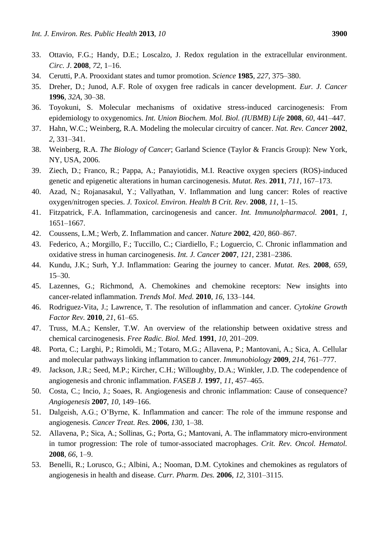- 33. Ottavio, F.G.; Handy, D.E.; Loscalzo, J. Redox regulation in the extracellular environment. *Circ. J*. **2008**, *72*, 1–16.
- 34. Cerutti, P.A. Prooxidant states and tumor promotion. *Science* **1985**, *227*, 375–380.
- 35. Dreher, D.; Junod, A.F. Role of oxygen free radicals in cancer development. *Eur. J. Cancer* **1996**, *32A*, 30–38.
- 36. Toyokuni, S. Molecular mechanisms of oxidative stress-induced carcinogenesis: From epidemiology to oxygenomics. *Int. Union Biochem. Mol. Biol. (IUBMB) Life* **2008**, *60*, 441–447.
- 37. Hahn, W.C.; Weinberg, R.A. Modeling the molecular circuitry of cancer. *Nat. Rev. Cancer* **2002**, *2*, 331–341.
- 38. Weinberg, R.A. *The Biology of Cancer*; Garland Science (Taylor & Francis Group): New York, NY, USA, 2006.
- 39. Ziech, D.; Franco, R.; Pappa, A.; Panayiotidis, M.I. Reactive oxygen speciers (ROS)-induced genetic and epigenetic alterations in human carcinogenesis. *[Mutat. Res](http://www.ncbi.nlm.nih.gov/pubmed/21419141)*. **2011**, *711*, 167–173.
- 40. Azad, N.; Rojanasakul, Y.; Vallyathan, V. Inflammation and lung [cancer: Roles of reactive](http://www.ncbi.nlm.nih.gov/pubmed/18176884)  [oxygen/nitrogen species.](http://www.ncbi.nlm.nih.gov/pubmed/18176884) *J. Toxicol. Environ. Health B Crit. Rev*. **2008**, *11*, 1–15.
- 41. Fitzpatrick, F.A. Inflammation, carcinogenesis and cancer. *Int. Immunolpharmacol.* **2001**, *1*, 1651–1667.
- 42. Coussens, L.M.; Werb, Z. Inflammation and cancer. *Nature* **2002**, *420*, 860–867.
- 43. Federico, A.; Morgillo, F.; Tuccillo, C.; Ciardiello, F.; Loguercio, C. Chronic inflammation and oxidative stress in human carcinogenesis. *Int. J. Cancer* **2007**, *121*, 2381–2386.
- 44. Kundu, J.K.; Surh, Y.J. Inflammation: Gearing the journey to cancer. *Mutat. Res.* **2008**, *659*, 15–30.
- 45. Lazennes, G.; Richmond, A. Chemokines and chemokine receptors: New insights into cancer-related inflammation. *Trends Mol. Med.* **2010**, *16*, 133–144.
- 46. Rodriguez-Vita, J.; Lawrence, T. The resolution of inflammation and cancer. *Cytokine Growth Factor Rev.* **2010**, *21*, 61–65.
- 47. Truss, M.A.; Kensler, T.W. An overview of the relationship between oxidative stress and chemical carcinogenesis. *Free Radic. Biol. Med.* **1991**, *10*, 201–209.
- 48. Porta, C.; Larghi, P.; Rimoldi, M.; Totaro, M.G.; Allavena, P.; Mantovani, A.; Sica, A. Cellular and molecular pathways linking inflammation to cancer. *Immunobiology* **2009**, *214*, 761–777.
- 49. Jackson, J.R.; Seed, M.P.; Kircher, C.H.; Willoughby, D.A.; Winkler, J.D. The codependence of angiogenesis and chronic inflammation. *FASEB J.* **1997**, *11*, 457–465.
- 50. Costa, C.; Incio, J.; Soaes, R. Angiogenesis and chronic inflammation: Cause of consequence? *Angiogenesis* **2007**, *10*, 149–166.
- 51. Dalgeish, A.G.; O'Byrne, K. Inflammation and cancer: The role of the immune response and angiogenesis. *Cancer Treat. Res.* **2006**, *130*, 1–38.
- 52. Allavena, P.; Sica, A.; Sollinas, G.; Porta, G.; Mantovani, A. The inflammatory micro-environment in tumor progression: The role of tumor-associated macrophages. *Crit. Rev. Oncol. Hematol.* **2008**, *66*, 1–9.
- 53. Benelli, R.; Lorusco, G.; Albini, A.; Nooman, D.M. Cytokines and chemokines as regulators of angiogenesis in health and disease. *Curr. Pharm. Des.* **2006**, *12*, 3101–3115.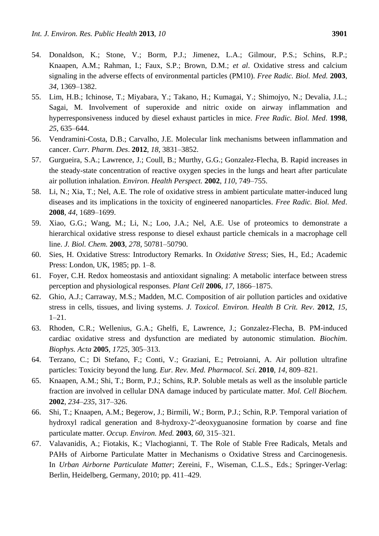- 54. Donaldson, K.; Stone, V.; Borm, P.J.; Jimenez, L.A.; Gilmour, P.S.; Schins, R.P.; Knaapen, A.M.; Rahman, I.; Faux, S.P.; Brown, D.M.; *et al*. Oxidative stress and calcium signaling in the adverse effects of environmental particles (PM10). *Free Radic. Biol. Med.* **2003**, *34*, 1369–1382.
- 55. Lim, H.B.; Ichinose, T.; Miyabara, Y.; Takano, H.; Kumagai, Y.; Shimojyo, N.; Devalia, J.L.; Sagai, M. Involvement of superoxide and nitric oxide on airway inflammation and hyperresponsiveness induced by diesel exhaust particles in mice. *Free Radic. Biol. Med*. **1998**, *25*, 635–644.
- 56. [Vendramini-Costa, D.B.](http://www.ncbi.nlm.nih.gov/pubmed?term=Vendramini-Costa%20DB%5BAuthor%5D&cauthor=true&cauthor_uid=22632748); [Carvalho, J.E.](http://www.ncbi.nlm.nih.gov/pubmed?term=Carvalho%20JE%5BAuthor%5D&cauthor=true&cauthor_uid=22632748) Molecular link mechanisms between inflammation and cancer. *Curr. Pharm. Des*. **2012**, *18*, 3831–3852.
- 57. Gurgueira, S.A.; Lawrence, J.; Coull, B.; Murthy, G.G.; Gonzalez-Flecha, B. Rapid increases in the steady-state concentration of reactive oxygen species in the lungs and heart after particulate air pollution inhalation. *Environ. Health Perspect.* **2002**, *110*, 749–755.
- 58. Li, N.; Xia, T.; Nel, A.E. The role of oxidative stress in ambient particulate matter-induced lung diseases and its implications in the toxicity of engineered nanoparticles. *Free Radic. Biol. Med*. **2008**, *44*, 1689–1699.
- 59. Xiao, G.G.; Wang, M.; Li, N.; Loo, J.A.; Nel, A.E. Use of proteomics to demonstrate a hierarchical oxidative stress response to diesel exhaust particle chemicals in a macrophage cell line. *J. Biol. Chem.* **2003**, *278*, 50781–50790.
- 60. Sies, H. Oxidative Stress: Introductory Remarks. In *Oxidative Stress*; Sies, H., Ed.; Academic Press: London, UK, 1985; pp. 1–8.
- 61. Foyer, C.H. Redox homeostasis and antioxidant signaling: A metabolic interface between stress perception and physiological responses. *Plant Cell* **2006**, *17*, 1866–1875.
- 62. Ghio, A.J.; Carraway, M.S.; Madden, M.C. Composition of air pollution particles and oxidative stress in cells, tissues, and living systems. *J. Toxicol. Environ. Health B Crit. Rev*. **2012**, *15*, 1–21.
- 63. Rhoden, C.R.; Wellenius, G.A.; Ghelfi, E, Lawrence, J.; Gonzalez-Flecha, B. PM-induced cardiac oxidative stress and dysfunction are mediated by autonomic stimulation. *Biochim*. *Biophys. Acta* **2005**, *1725*, 305–313.
- 64. Terzano, C.; Di Stefano, F.; Conti, V.; Graziani, E.; Petroianni, A. Air pollution ultrafine particles: Toxicity beyond the lung. *Eur. Rev. Med. Pharmacol. Sci*. **2010**, *14*, 809–821.
- 65. Knaapen, A.M.; Shi, T.; Borm, P.J.; Schins, R.P. Soluble metals as well as the insoluble particle fraction are involved in cellular DNA damage induced by particulate matter. *Mol. Cell Biochem.* **2002**, *234–235*, 317–326.
- 66. Shi, T.; Knaapen, A.M.; Begerow, J.; Birmili, W.; Borm, P.J.; Schin, R.P. Temporal variation of hydroxyl radical generation and 8-hydroxy-2′-deoxyguanosine formation by coarse and fine particulate matter. *Occup. Environ. Med.* **2003**, *60*, 315–321.
- 67. Valavanidis, A.; Fiotakis, K.; Vlachogianni, T. The Role of Stable Free Radicals, Metals and PAHs of Airborne Particulate Matter in Mechanisms o Oxidative Stress and Carcinogenesis. In *Urban Airborne Particulate Matter*; Zereini, F., Wiseman, C.L.S., Eds.; Springer-Verlag: Berlin, Heidelberg, Germany, 2010; pp. 411–429.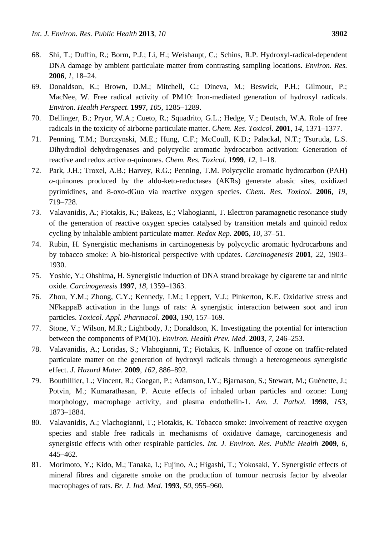- 68. Shi, T.; Duffin, R.; Borm, P.J.; Li, H.; Weishaupt, C.; Schins, R.P. Hydroxyl-radical-dependent DNA damage by ambient particulate matter from contrasting sampling locations. *Environ. Res.* **2006**, *1*, 18–24.
- 69. Donaldson, K.; Brown, D.M.; Mitchell, C.; Dineva, M.; Beswick, P.H.; Gilmour, P.; MacNee, W. Free radical activity of PM10: Iron-mediated generation of hydroxyl radicals. *Environ. Health Perspect*. **1997**, *105*, 1285–1289.
- 70. Dellinger, B.; Pryor, W.A.; Cueto, R.; Squadrito, G.L.; Hedge, V.; Deutsch, W.A. Role of free radicals in the toxicity of airborne particulate matter. *Chem. Res. Toxicol*. **2001**, *14*, 1371–1377.
- 71. Penning, T.M.; Burczynski, M.E.; Hung, C.F.; McCoull, K.D.; Palackal, N.T.; Tsuruda, L.S. Dihydrodiol dehydrogenases and polycyclic aromatic hydrocarbon activation: Generation of reactive and redox active *o*-quinones. *Chem. Res. Toxicol.* **1999**, *12*, 1–18.
- 72. Park, J.H.; Troxel, A.B.; Harvey, R.G.; Penning, T.M. [Polycyclic aromatic hydrocarbon \(PAH\)](http://www.ncbi.nlm.nih.gov/pubmed/16696575)  *o*-quinones [produced by the aldo-keto-reductases \(AKRs\) generate abasic sites, oxidized](http://www.ncbi.nlm.nih.gov/pubmed/16696575)  [pyrimidines, and 8-oxo-dGuo via reactive oxygen species.](http://www.ncbi.nlm.nih.gov/pubmed/16696575) *Chem. Res. Toxicol*. **2006**, *19*, 719–728.
- 73. Valavanidis, A.; Fiotakis, K.; Bakeas, E.; Vlahogianni, T. [Electron paramagnetic resonance study](http://www.ncbi.nlm.nih.gov/pubmed/15829110)  [of the generation of reactive oxygen species catalysed by transition metals and](http://www.ncbi.nlm.nih.gov/pubmed/15829110) quinoid redox [cycling by inhalable ambient](http://www.ncbi.nlm.nih.gov/pubmed/15829110) particulate matter. *Redox Rep.* **2005**, *10*, 37–51.
- 74. Rubin, H. Synergistic mechanisms in carcinogenesis by polycyclic aromatic hydrocarbons and by tobacco smoke: A bio-historical perspective with updates. *Carcinogenesis* **2001**, *22*, 1903– 1930.
- 75. Yoshie, Y.; Ohshima, H. Synergistic [induction of DNA strand breakage by cigarette tar and nitric](http://www.ncbi.nlm.nih.gov/pubmed/9230280)  [oxide.](http://www.ncbi.nlm.nih.gov/pubmed/9230280) *Carcinogenesis* **1997**, *18*, 1359–1363.
- 76. Zhou, Y.M.; Zhong, C.Y.; Kennedy, I.M.; Leppert, V.J.; Pinkerton, K.E. [Oxidative stress and](http://www.ncbi.nlm.nih.gov/pubmed/12878045)  [NFkappaB activation in the lungs of rats: A](http://www.ncbi.nlm.nih.gov/pubmed/12878045) synergistic interaction between soot and iron [particles.](http://www.ncbi.nlm.nih.gov/pubmed/12878045) *Toxicol. Appl. Pharmacol.* **2003**, *190*, 157–169.
- 77. Stone, V.; Wilson, M.R.; Lightbody, J.; Donaldson, K. [Investigating the potential for interaction](http://www.ncbi.nlm.nih.gov/pubmed/21432393)  [between the components of PM\(10\).](http://www.ncbi.nlm.nih.gov/pubmed/21432393) *Environ. Health Prev. Med*. **2003**, *7*, 246–253.
- 78. Valavanidis, A.; Loridas, S.; Vlahogianni, T.; Fiotakis, K. Influence of ozone [on traffic-related](http://www.ncbi.nlm.nih.gov/pubmed/18602214) particulate matter [on the generation of hydroxyl radicals through a heterogeneous](http://www.ncbi.nlm.nih.gov/pubmed/18602214) synergistic [effect.](http://www.ncbi.nlm.nih.gov/pubmed/18602214) *J. Hazard Mater*. **2009**, *162*, 886–892.
- 79. Bouthillier, L.; Vincent, R.; Goegan, P.; Adamson, I.Y.; Bjarnason, S.; Stewart, M.; Guénette, J.; Potvin, M.; Kumarathasan, P. Acute effects [of inhaled urban particles and](http://www.ncbi.nlm.nih.gov/pubmed/9846977) ozone: Lung [morphology, macrophage activity, and plasma endothelin-1.](http://www.ncbi.nlm.nih.gov/pubmed/9846977) *Am. J. Pathol.* **1998**, *153*, 1873–1884.
- 80. Valavanidis, A.; Vlachogianni, T.; Fiotakis, K. Tobacco [smoke: Involvement of reactive oxygen](http://www.ncbi.nlm.nih.gov/pubmed/19440393)  [species and stable free radicals in mechanisms of oxidative damage, carcinogenesis and](http://www.ncbi.nlm.nih.gov/pubmed/19440393) synergistic effects [with other respirable particles.](http://www.ncbi.nlm.nih.gov/pubmed/19440393) *Int. J. Environ. Res. Public Health* **2009**, *6*, 445–462.
- 81. Morimoto, Y.; Kido, M.; Tanaka, I.; Fujino, A.; Higashi, T.; Yokosaki, Y. [Synergistic](http://www.ncbi.nlm.nih.gov/pubmed/8217857) effects of mineral fibres and cigarette smoke [on the production of tumour necrosis factor by alveolar](http://www.ncbi.nlm.nih.gov/pubmed/8217857)  [macrophages of rats.](http://www.ncbi.nlm.nih.gov/pubmed/8217857) *Br. J. Ind. Med.* **1993**, *50*, 955–960.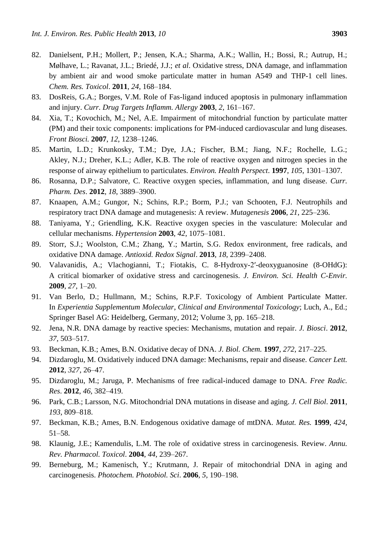- 82. Danielsent, P.H.; Mollert, P.; Jensen, K.A.; Sharma, A.K.; Wallin, H.; Bossi, R.; Autrup, H.; Mølhave, L.; Ravanat, J.L.; Briedé, J.J.; *et al*. Oxidative stress, DNA damage, and inflammation by ambient air and wood smoke particulate matter in human A549 and THP-1 cell lines. *Chem. Res. Toxicol*. **2011**, *24*, 168–184.
- 83. DosReis, G.A.; Borges, V.M. Role of Fas-ligand induced apoptosis in pulmonary inflammation and injury. *Curr. Drug Targets Inflamm. Allergy* **2003**, *2*, 161–167.
- 84. Xia, T.; Kovochich, M.; Nel, A.E. Impairment of mitochondrial function by particulate matter (PM) and their toxic components: implications for PM-induced cardiovascular and lung diseases. *Front Biosci.* **2007**, *12*, 1238–1246.
- 85. Martin, L.D.; Krunkosky, T.M.; Dye, J.A.; Fischer, B.M.; Jiang, N.F.; Rochelle, L.G.; Akley, N.J.; Dreher, K.L.; Adler, K.B. [The role of reactive oxygen and nitrogen species in the](http://www.ncbi.nlm.nih.gov/pubmed/9400742)  [response of airway epithelium to particulates.](http://www.ncbi.nlm.nih.gov/pubmed/9400742) *Environ. Health Perspect*. **1997**, *105*, 1301–1307.
- 86. Rosanna, D.P.; Salvatore, C. Reactive oxygen species, inflammation, and lung disease. *Curr. Pharm. Des*. **2012**, *18*, 3889–3900.
- 87. Knaapen, A.M.; Gungor, N.; Schins, R.P.; Borm, P.J.; van Schooten, F.J. Neutrophils and respiratory tract DNA damage and mutagenesis: A review. *Mutagenesis* **2006**, *21*, 225–236.
- 88. Taniyama, Y.; Griendling, K.K. Reactive oxygen species in the vasculature: Molecular and cellular mechanisms. *Hypertension* **2003**, *42*, 1075–1081.
- 89. Storr, S.J.; Woolston, C.M.; Zhang, Y.; Martin, S.G. Redox environment, free radicals, and oxidative DNA damage. *Antioxid. Redox Signal*. **2013**, *18*, 2399–2408.
- 90. Valavanidis, A.; Vlachogianni, T.; Fiotakis, C. 8-Hydroxy-2′-deoxyguanosine (8-OHdG): A critical biomarker of oxidative stress and carcinogenesis. *J. Environ. Sci. Health C-Envir.* **2009**, *27*, 1–20.
- 91. Van Berlo, D.; Hullmann, M.; Schins, R.P.F. Toxicology of Ambient Particulate Matter. In *Experientia Supplementum Molecular*, *Clinical and Environmental Toxicology*; Luch, A., Ed.; Springer Basel AG: Heidelberg, Germany, 2012; Volume 3, pp. 165–218.
- 92. Jena, N.R. DNA damage by reactive species: Mechanisms, mutation and repair. *J. Biosci*. **2012**, *37*, 503–517.
- 93. Beckman, K.B.; Ames, B.N. Oxidative decay of DNA. *J. Biol. Chem.* **1997**, *272*, 217–225.
- 94. Dizdaroglu, M. Oxidatively induced DNA damage: Mechanisms, repair and disease. *Cancer Lett.* **2012**, *327*, 26–47.
- 95. Dizdaroglu, M.; Jaruga, P. Mechanisms of free radical-induced damage to DNA. *[Free Radic.](http://www.ncbi.nlm.nih.gov/pubmed/22276778)  [Res](http://www.ncbi.nlm.nih.gov/pubmed/22276778)*. **2012**, *46*, 382–419.
- 96. Park, C.B.; Larsson, N.G. Mitochondrial DNA mutations in disease and aging. *J. Cell Biol*. **2011**, *193*, 809–818.
- 97. Beckman, K.B.; Ames, B.N. Endogenous oxidative damage of mtDNA. *Mutat. Res.* **1999**, *424*, 51–58.
- 98. Klaunig, J.E.; Kamendulis, L.M. The role of oxidative [stress in carcinogenesis.](http://www.ncbi.nlm.nih.gov/pubmed/14744246) Review. *Annu. Rev. Pharmacol. Toxicol*. **2004**, *44*, 239–267.
- 99. Berneburg, M.; Kamenisch, Y.; Krutmann, J. Repair of [mitochondrial DNA](http://www.ncbi.nlm.nih.gov/pubmed/16465305) in aging and [carcinogenesis.](http://www.ncbi.nlm.nih.gov/pubmed/16465305) *Photochem. Photobiol. Sci*. **2006**, *5*, 190–198.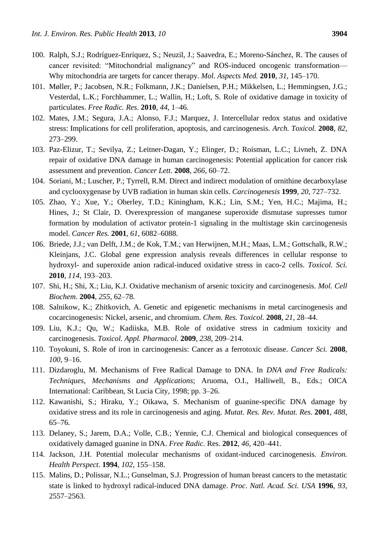- 100. [Ralph, S.J.](http://www.ncbi.nlm.nih.gov/pubmed?term=Ralph%20SJ%5BAuthor%5D&cauthor=true&cauthor_uid=20206201); [Rodríguez-Enríquez, S.](http://www.ncbi.nlm.nih.gov/pubmed?term=Rodr%C3%ADguez-Enr%C3%ADquez%20S%5BAuthor%5D&cauthor=true&cauthor_uid=20206201); [Neuzil, J.](http://www.ncbi.nlm.nih.gov/pubmed?term=Neuzil%20J%5BAuthor%5D&cauthor=true&cauthor_uid=20206201); [Saavedra, E.](http://www.ncbi.nlm.nih.gov/pubmed?term=Saavedra%20E%5BAuthor%5D&cauthor=true&cauthor_uid=20206201); [Moreno-Sánchez, R.](http://www.ncbi.nlm.nih.gov/pubmed?term=Moreno-S%C3%A1nchez%20R%5BAuthor%5D&cauthor=true&cauthor_uid=20206201) The causes of cancer revisited: "Mitochondrial malignancy" and ROS-induced oncogenic transformation— Why mitochondria are targets for cancer therapy*. [Mol. Aspects Med.](http://www.ncbi.nlm.nih.gov/pubmed/20206201)* **2010**, *31*, 145–170.
- 101. [Møller, P.](http://www.ncbi.nlm.nih.gov/pubmed?term=M%C3%B8ller%20P%5BAuthor%5D&cauthor=true&cauthor_uid=19886744); [Jacobsen, N.R.](http://www.ncbi.nlm.nih.gov/pubmed?term=Jacobsen%20NR%5BAuthor%5D&cauthor=true&cauthor_uid=19886744); [Folkmann, J.K.](http://www.ncbi.nlm.nih.gov/pubmed?term=Folkmann%20JK%5BAuthor%5D&cauthor=true&cauthor_uid=19886744); [Danielsen, P.H.](http://www.ncbi.nlm.nih.gov/pubmed?term=Danielsen%20PH%5BAuthor%5D&cauthor=true&cauthor_uid=19886744); [Mikkelsen, L.](http://www.ncbi.nlm.nih.gov/pubmed?term=Mikkelsen%20L%5BAuthor%5D&cauthor=true&cauthor_uid=19886744); [Hemmingsen, J.G.](http://www.ncbi.nlm.nih.gov/pubmed?term=Hemmingsen%20JG%5BAuthor%5D&cauthor=true&cauthor_uid=19886744); [Vesterdal, L.K.](http://www.ncbi.nlm.nih.gov/pubmed?term=Vesterdal%20LK%5BAuthor%5D&cauthor=true&cauthor_uid=19886744); [Forchhammer, L.](http://www.ncbi.nlm.nih.gov/pubmed?term=Forchhammer%20L%5BAuthor%5D&cauthor=true&cauthor_uid=19886744); [Wallin, H.](http://www.ncbi.nlm.nih.gov/pubmed?term=Wallin%20H%5BAuthor%5D&cauthor=true&cauthor_uid=19886744); [Loft, S.](http://www.ncbi.nlm.nih.gov/pubmed?term=Loft%20S%5BAuthor%5D&cauthor=true&cauthor_uid=19886744) Role of oxidative damage in toxicity of particulates. *[Free Radic. Res](http://www.ncbi.nlm.nih.gov/pubmed/19886744)*. **2010**, *44*, 1–46.
- 102. Mates, J.M.; Segura, J.A.; Alonso, F.J.; Marquez, J. Intercellular redox status and oxidative stress: Implications for cell proliferation, apoptosis, and carcinogenesis. *Arch. Toxicol.* **2008**, *82*, 273–299.
- 103. Paz-Elizur, T.; Sevilya, Z.; Leitner-Dagan, Y.; Elinger, D.; Roisman, L.C.; Livneh, Z. DNA repair of oxidative DNA damage in human carcinogenesis: Potential application for cancer risk assessment and prevention. *Cancer Lett*. **2008**, *266*, 60–72.
- 104. Soriani, M.; Luscher, P.; Tyrrell, R.M. Direct and indirect modulation of ornithine decarboxylase and cyclooxygenase by UVB radiation in human skin cells. *Carcinogenesis* **1999**, *20*, 727–732.
- 105. Zhao, Y.; Xue, Y.; Oberley, T.D.; Kiningham, K.K.; Lin, S.M.; Yen, H.C.; Majima, H.; Hines, J.; St Clair, D. Overexpression of manganese superoxide dismutase supresses tumor formation by modulation of activator protein-1 signaling in the multistage skin carcinogenesis model. *Cancer Res.* **2001**, *61*, 6082–6088.
- 106. Briede, J.J.; van Delft, J.M.; de Kok, T.M.; van Herwijnen, M.H.; Maas, L.M.; Gottschalk, R.W.; Kleinjans, J.C. Global gene expression analysis reveals differences in cellular response to hydroxyl- and superoxide anion radical-induced oxidative stress in caco-2 cells. *Toxicol. Sci.*  **2010**, *114*, 193–203.
- 107. Shi, H.; Shi, X.; Liu, K.J. Oxidative mechanism of arsenic toxicity and carcinogenesis. *Mol. Cell Biochem.* **2004**, *255*, 62–78.
- 108. Salnikow, K.; Zhitkovich, A. Genetic and epigenetic mechanisms in metal carcinogenesis and cocarcinogenesis: Nickel, arsenic, and chromium. *Chem. Res. Toxicol.* **2008**, *21*, 28–44.
- 109. Liu, K.J.; Qu, W.; Kadiiska, M.B. Role of oxidative stress in cadmium toxicity and carcinogenesis. *Toxicol. Appl. Pharmacol.* **2009**, *238*, 209–214.
- 110. Toyokuni, S. Role of iron in carcinogenesis: Cancer as a ferrotoxic disease. *Cancer Sci.* **2008**, *100*, 9–16.
- 111. Dizdaroglu, M. Mechanisms of Free Radical Damage to DNA. In *DNA and Free Radicals: Techniques*, *Mechanisms and Applications*; Aruoma, O.I., Halliwell, B., Eds.; OICA International: Caribbean, St Lucia City, 1998; pp. 3–26.
- 112. Kawanishi, S.; Hiraku, Y.; Oikawa, S. Mechanism of guanine-specific DNA damage by oxidative stress and its role in carcinogenesis and aging. *Mutat. Res. Rev. Mutat. Res*. **2001**, *488*, 65–76.
- 113. [Delaney, S.](http://www.ncbi.nlm.nih.gov/pubmed?term=Delaney%20S%5BAuthor%5D&cauthor=true&cauthor_uid=22239655); [Jarem, D.A.](http://www.ncbi.nlm.nih.gov/pubmed?term=Jarem%20DA%5BAuthor%5D&cauthor=true&cauthor_uid=22239655); [Volle, C.B.](http://www.ncbi.nlm.nih.gov/pubmed?term=Volle%20CB%5BAuthor%5D&cauthor=true&cauthor_uid=22239655); [Yennie, C.J.](http://www.ncbi.nlm.nih.gov/pubmed?term=Yennie%20CJ%5BAuthor%5D&cauthor=true&cauthor_uid=22239655) Chemical and biological consequences of oxidatively damaged guanine in DNA. *[Free Radic.](http://www.ncbi.nlm.nih.gov/pubmed/22239655)* Res. **2012**, *46*, 420–441.
- 114. Jackson, J.H. Potential molecular mechanisms of oxidant-induced carcinogenesis. *Environ. Health Perspect*. **1994**, *102*, 155–158.
- 115. Malins, D.; Polissar, N.L.; Gunselman, S.J. Progression of human breast cancers to the metastatic state is linked to hydroxyl radical-induced DNA damage. *Proc. Natl. Acad. Sci. USA* **1996**, *93*, 2557–2563.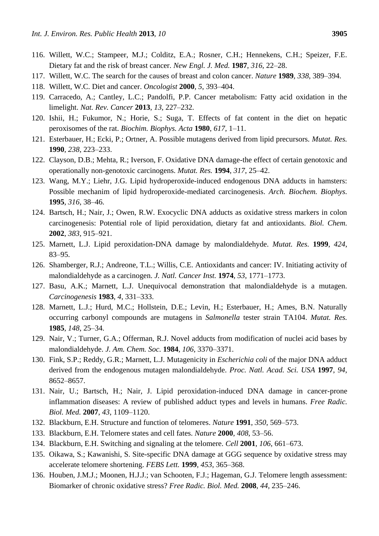- 116. Willett, W.C.; Stampeer, M.J.; Colditz, E.A.; Rosner, C.H.; Hennekens, C.H.; Speizer, F.E. Dietary fat and the risk of breast cancer*. New Engl. J. Med.* **1987**, *316*, 22–28.
- 117. Willett, W.C. The search for the causes of breast and colon cancer. *Nature* **1989**, *338*, 389–394.
- 118. Willett, W.C. Diet and cancer. *Oncologist* **2000**, *5*, 393–404.
- 119. Carracedo, A.; Cantley, L.C.; Pandolfi, P.P. Cancer metabolism: Fatty acid oxidation in the limelight. *Nat. Rev. Cancer* **2013**, *13*, 227–232.
- 120. Ishii, H.; Fukumor, N.; Horie, S.; Suga, T. Effects of fat content in the diet on hepatic peroxisomes of the rat. *Biochim. Biophys. Acta* **1980**, *617*, 1–11.
- 121. Esterbauer, H.; Ecki, P.; Ortner, A. Possible mutagens derived from lipid precursors. *Mutat. Res.*  **1990**, *238*, 223–233.
- 122. Clayson, D.B.; Mehta, R.; Iverson, F. Oxidative DNA damage-the effect of certain genotoxic and operationally non-genotoxic carcinogens. *Mutat. Res.* **1994**, *317*, 25–42.
- 123. Wang, M.Y.; Liehr, J.G. Lipid hydroperoxide-induced endogenous DNA adducts in hamsters: Possible mechanim of lipid hydroperoxide-mediated carcinogenesis. *Arch. Biochem. Biophys.*  **1995**, *316*, 38–46.
- 124. Bartsch, H.; Nair, J.; Owen, R.W. Exocyclic DNA adducts as oxidative stress markers in colon carcinogenesis: Potential role of lipid peroxidation, dietary fat and antioxidants. *Biol. Chem.* **2002**, *383*, 915–921.
- 125. Marnett, L.J. Lipid peroxidation-DNA damage by malondialdehyde. *Mutat. Res.* **1999**, *424*, 83–95.
- 126. Shamberger, R.J.; Andreone, T.L.; Willis, C.E. Antioxidants and cancer: IV. Initiating activity of malondialdehyde as a carcinogen. *J. Natl. Cancer Inst.* **1974**, *53*, 1771–1773.
- 127. Basu, A.K.; Marnett, L.J. Unequivocal demonstration that malondialdehyde is a mutagen. *Carcinogenesis* **1983**, *4*, 331–333.
- 128. Marnett, L.J.; Hurd, M.C.; Hollstein, D.E.; Levin, H.; Esterbauer, H.; Ames, B.N. Naturally occurring carbonyl compounds are mutagens in *Salmonella* tester strain TA104. *Mutat. Res.* **1985**, *148*, 25–34.
- 129. Nair, V.; Turner, G.A.; Offerman, R.J. Novel adducts from modification of nuclei acid bases by malondialdehyde. *J. Am. Chem. Soc.* **1984**, *106*, 3370–3371.
- 130. Fink, S.P.; Reddy, G.R.; Marnett, L.J. Mutagenicity in *Escherichia coli* of the major DNA adduct derived from the endogenous mutagen malondialdehyde. *Proc. Natl. Acad. Sci. USA* **1997**, *94*, 8652–8657.
- 131. Nair, U.; Bartsch, H.; Nair, J. Lipid peroxidation-induced DNA damage in cancer-prone inflammation diseases: A review of published adduct types and levels in humans. *Free Radic. Biol. Med.* **2007**, *43*, 1109–1120.
- 132. Blackburn, E.H. Structure and function of telomeres. *Nature* **1991**, *350*, 569–573.
- 133. Blackburn, E.H. Telomere states and cell fates. *Nature* **2000**, *408*, 53–56.
- 134. Blackburn, E.H. Switching and signaling at the telomere. *Cell* **2001**, *106*, 661–673.
- 135. Oikawa, S.; Kawanishi, S. Site-specific DNA damage at GGG sequence by oxidative stress may accelerate telomere shortening. *FEBS Lett.* **1999**, *453*, 365–368.
- 136. Houben, J.M.J.; Moonen, H.J.J.; van Schooten, F.J.; Hageman, G.J. Telomere length assessment: Biomarker of chronic oxidative stress? *Free Radic. Biol. Med.* **2008**, *44*, 235–246.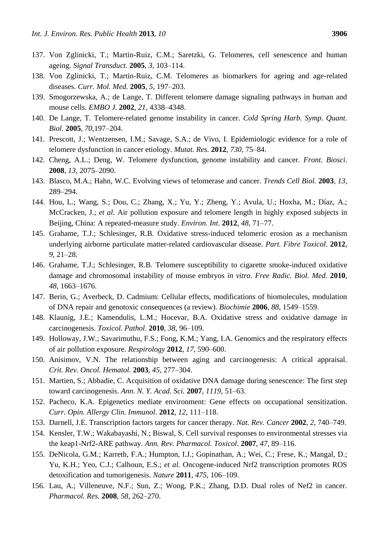- 137. Von Zglinicki, T.; Martin-Ruiz, C.M.; Saretzki, G. Telomeres, cell senescence and human ageing. *Signal Transduct.* **2005**, *3*, 103–114.
- 138. Von Zglinicki, T.; Martin-Ruiz, C.M. Telomeres as biomarkers for ageing and age-related diseases. *Curr. Mol. Med.* **2005**, *5*, 197–203.
- 139. Smogorzewska, A.; de Lange, T. Different telomere damage signaling pathways in human and mouse cells. *EMBO J.* **2002**, *21*, 4338–4348.
- 140. De Lange, T. Telomere-related genome instability in cancer. *Cold Spring Harb. Symp. Quant. Biol.* **2005**, *70*,197–204.
- 141. [Prescott, J.](http://www.ncbi.nlm.nih.gov/pubmed?term=Prescott%20J%5BAuthor%5D&cauthor=true&cauthor_uid=21756922); [Wentzensen, I.M.](http://www.ncbi.nlm.nih.gov/pubmed?term=Wentzensen%20IM%5BAuthor%5D&cauthor=true&cauthor_uid=21756922); [Savage, S.A.](http://www.ncbi.nlm.nih.gov/pubmed?term=Savage%20SA%5BAuthor%5D&cauthor=true&cauthor_uid=21756922); [de Vivo,](http://www.ncbi.nlm.nih.gov/pubmed?term=De%20Vivo%20I%5BAuthor%5D&cauthor=true&cauthor_uid=21756922) I. Epidemiologic evidence for a role of telomere dysfunction in cancer etiology. *Mutat. Res.* **2012**, *730*, 75–84.
- 142. Cheng, A.L.; Deng, W. Telomere dysfunction, genome instability and cancer. *Front. Biosci.*  **2008**, *13*, 2075–2090.
- 143. Blasco, M.A.; Hahn, W.C. Evolving views of telomerase and cancer. *Trends Cell Biol.* **2003**, *13*, 289–294.
- 144. Hou, L.; Wang, S.; Dou, C.; Zhang, X.; Yu, Y.; Zheng, Y.; Avula, U.; Hoxha, M.; Díaz, A.; McCracken, J.; *et al*. Air pollution exposure and telomere [length in highly exposed subjects in](http://www.ncbi.nlm.nih.gov/pubmed/22871507)  [Beijing, China: A repeated-measure study.](http://www.ncbi.nlm.nih.gov/pubmed/22871507) *Environ. Int*. **2012**, *48*, 71–77.
- 145. Grahame, T.J.; Schlesinger, R.B. [Oxidative stress-induced telomeric erosion as a mechanism](http://www.ncbi.nlm.nih.gov/pubmed/22713210)  underlying airborne [particulate matter-related cardiovascular disease.](http://www.ncbi.nlm.nih.gov/pubmed/22713210) *Part. Fibre Toxicol*. **2012**, *9*, 21–28.
- 146. Grahame, T.J.; Schlesinger, R.B. Telomere [susceptibility to cigarette smoke-induced](http://www.ncbi.nlm.nih.gov/pubmed/20381605) oxidative [damage and chromosomal instability of mouse embryos](http://www.ncbi.nlm.nih.gov/pubmed/20381605) *in vitro*. *Free Radic. Biol. Med*. **2010**, *48*, 1663–1676.
- 147. Berin, G.; Averbeck, D. Cadmium: Cellular effects, modifications of biomolecules, modulation of DNA repair and genotoxic consequences (a review). *Biochimie* **2006**, *88*, 1549–1559.
- 148. Klaunig, J.E.; Kamendulis, L.M.; Hocevar, B.A. Oxidative stress and oxidative damage in carcinogenesis. *Toxicol. Pathol*. **2010**, *38*, 96–109.
- 149. [Holloway, J.W.](http://www.ncbi.nlm.nih.gov/pubmed?term=Holloway%20JW%5BAuthor%5D&cauthor=true&cauthor_uid=22404320); [Savarimuthu,](http://www.ncbi.nlm.nih.gov/pubmed?term=Savarimuthu%20Francis%20S%5BAuthor%5D&cauthor=true&cauthor_uid=22404320) F.S.; [Fong, K.M.](http://www.ncbi.nlm.nih.gov/pubmed?term=Fong%20KM%5BAuthor%5D&cauthor=true&cauthor_uid=22404320); [Yang, I.A.](http://www.ncbi.nlm.nih.gov/pubmed?term=Yang%20IA%5BAuthor%5D&cauthor=true&cauthor_uid=22404320) Genomics and the respiratory effects of air pollution exposure. *[Respirology](http://www.ncbi.nlm.nih.gov/pubmed/22404320)* **2012**, *17*, 590–600.
- 150. Anisimov, V.N. The relationship between aging and carcinogenesis: A critical appraisal. *Crit. Rev. Oncol. Hematol.* **2003**, *45*, 277–304.
- 151. Martien, S.; Abbadie, C. Acquisition of oxidative DNA damage during senescence: The first step toward carcinogenesis. *Ann. N. Y. Acad. Sci.* **2007**, *1119*, 51–63.
- 152. Pacheco, K.A. Epigenetics mediate environment: Gene effects on occupational sensitization. *[Curr. Opin. Allergy Clin. Immunol](http://www.ncbi.nlm.nih.gov/pubmed/22306555)*. **2012**, *12*, 111–118.
- 153. Darnell, J.E. Transcription factors targets for cancer therapy. *Nat. Rev. Cancer* **2002**, *2*, 740–749.
- 154. Kensler, T.W.; Wakabayashi, N.; Biswal, S. Cell survival responses to environmental stresses via the keap1-Nrf2-ARE pathway. *Ann. Rev. Pharmacol. Toxicol*. **2007**, *47*, 89–116.
- 155. DeNicola, G.M.; Karreth, F.A.; Humpton, I.J.; Gopinathan, A.; Wei, C.; Frese, K.; Mangal, D.; Yu, K.H.; Yeo, C.J.; Calhoun, E.S.; *et al.* Oncogene-induced Nrf2 transcription promotes ROS detoxification and tumorigenesis. *Nature* **2011**, *475*, 106–109.
- 156. Lau, A.; Villeneuve, N.F.; Sun, Z.; Wong, P.K.; Zhang, D.D. Dual roles of Nef2 in cancer. *Pharmacol. Res.* **2008**, *58*, 262–270.